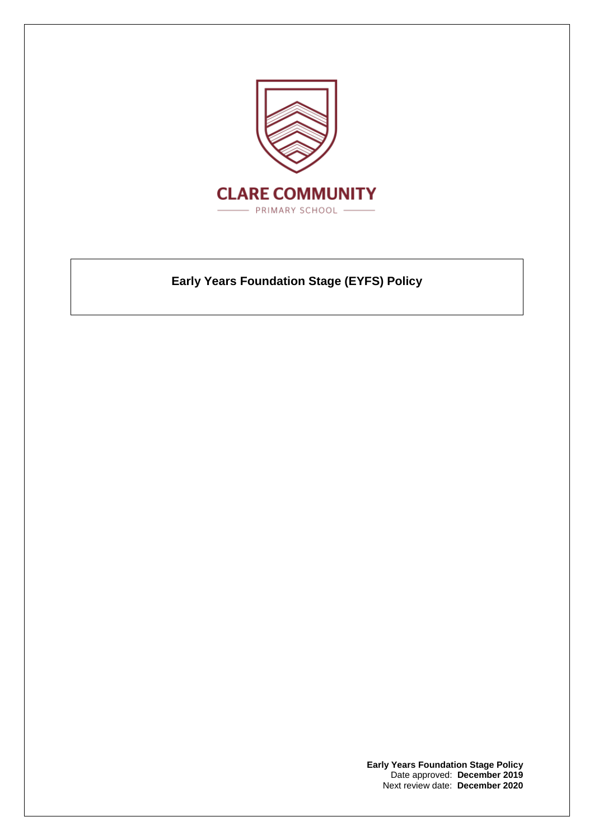

# **Early Years Foundation Stage (EYFS) Policy**

**Early Years Foundation Stage Policy** Date approved: **December 2019** Next review date: **December 2020**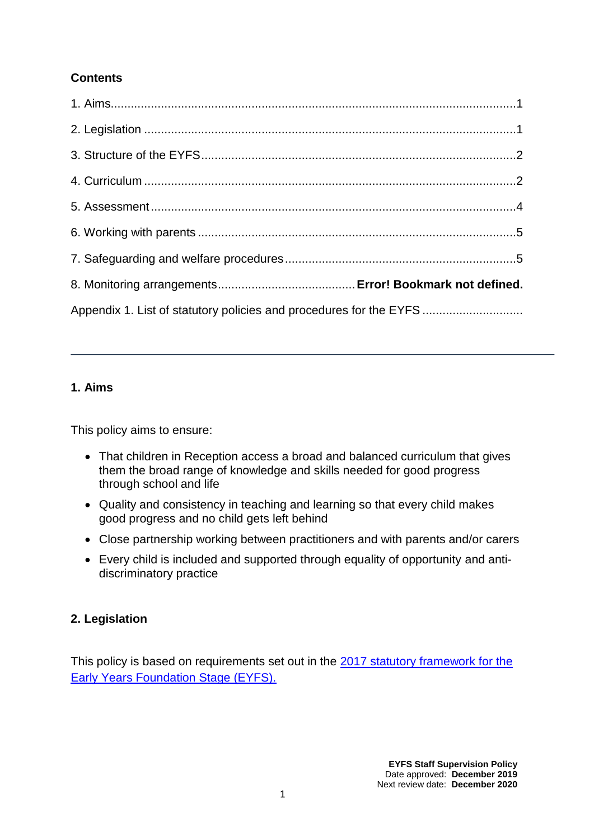## **Contents**

| Appendix 1. List of statutory policies and procedures for the EYFS |  |
|--------------------------------------------------------------------|--|

## **1. Aims**

This policy aims to ensure:

- That children in Reception access a broad and balanced curriculum that gives them the broad range of knowledge and skills needed for good progress through school and life
- Quality and consistency in teaching and learning so that every child makes good progress and no child gets left behind
- Close partnership working between practitioners and with parents and/or carers
- Every child is included and supported through equality of opportunity and antidiscriminatory practice

# **2. Legislation**

This policy is based on requirements set out in the [2017 statutory framework for the](https://www.gov.uk/government/uploads/system/uploads/attachment_data/file/596629/EYFS_STATUTORY_FRAMEWORK_2017.pdf)  [Early Years Foundation Stage \(EYFS\).](https://www.gov.uk/government/uploads/system/uploads/attachment_data/file/596629/EYFS_STATUTORY_FRAMEWORK_2017.pdf)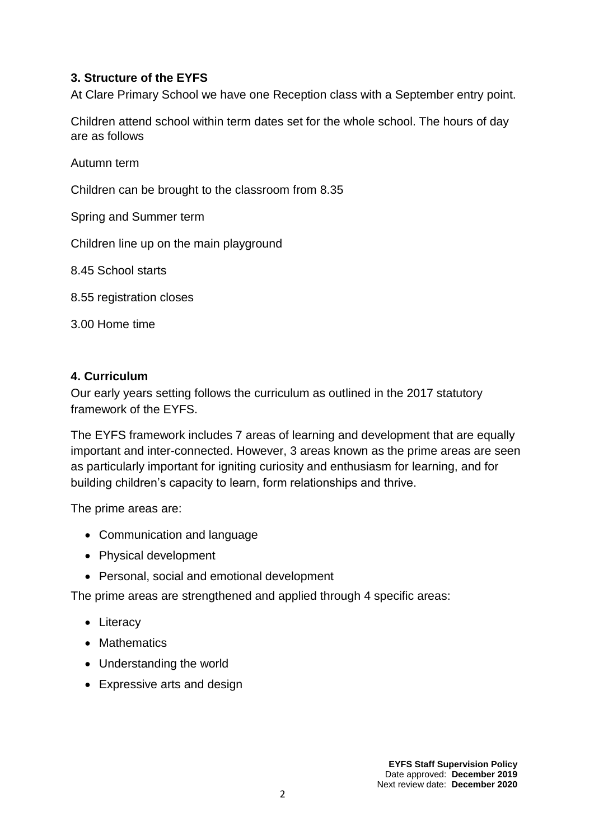#### **3. Structure of the EYFS**

At Clare Primary School we have one Reception class with a September entry point.

Children attend school within term dates set for the whole school. The hours of day are as follows

Autumn term

Children can be brought to the classroom from 8.35

Spring and Summer term

Children line up on the main playground

8.45 School starts

8.55 registration closes

3.00 Home time

#### **4. Curriculum**

Our early years setting follows the curriculum as outlined in the 2017 statutory framework of the EYFS.

The EYFS framework includes 7 areas of learning and development that are equally important and inter-connected. However, 3 areas known as the prime areas are seen as particularly important for igniting curiosity and enthusiasm for learning, and for building children's capacity to learn, form relationships and thrive.

The prime areas are:

- Communication and language
- Physical development
- Personal, social and emotional development

The prime areas are strengthened and applied through 4 specific areas:

- Literacy
- Mathematics
- Understanding the world
- Expressive arts and design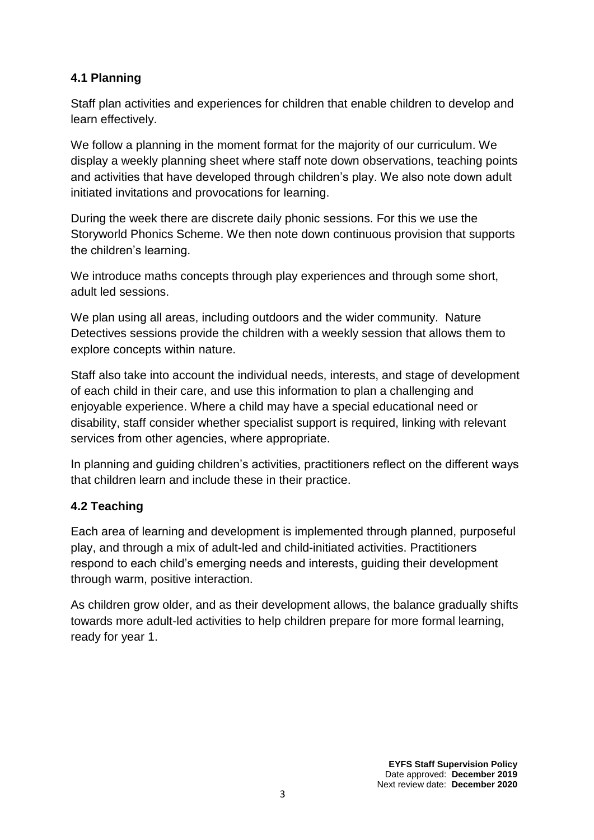#### **4.1 Planning**

Staff plan activities and experiences for children that enable children to develop and learn effectively.

We follow a planning in the moment format for the majority of our curriculum. We display a weekly planning sheet where staff note down observations, teaching points and activities that have developed through children's play. We also note down adult initiated invitations and provocations for learning.

During the week there are discrete daily phonic sessions. For this we use the Storyworld Phonics Scheme. We then note down continuous provision that supports the children's learning.

We introduce maths concepts through play experiences and through some short, adult led sessions.

We plan using all areas, including outdoors and the wider community. Nature Detectives sessions provide the children with a weekly session that allows them to explore concepts within nature.

Staff also take into account the individual needs, interests, and stage of development of each child in their care, and use this information to plan a challenging and enjoyable experience. Where a child may have a special educational need or disability, staff consider whether specialist support is required, linking with relevant services from other agencies, where appropriate.

In planning and guiding children's activities, practitioners reflect on the different ways that children learn and include these in their practice.

## **4.2 Teaching**

Each area of learning and development is implemented through planned, purposeful play, and through a mix of adult-led and child-initiated activities. Practitioners respond to each child's emerging needs and interests, guiding their development through warm, positive interaction.

As children grow older, and as their development allows, the balance gradually shifts towards more adult-led activities to help children prepare for more formal learning, ready for year 1.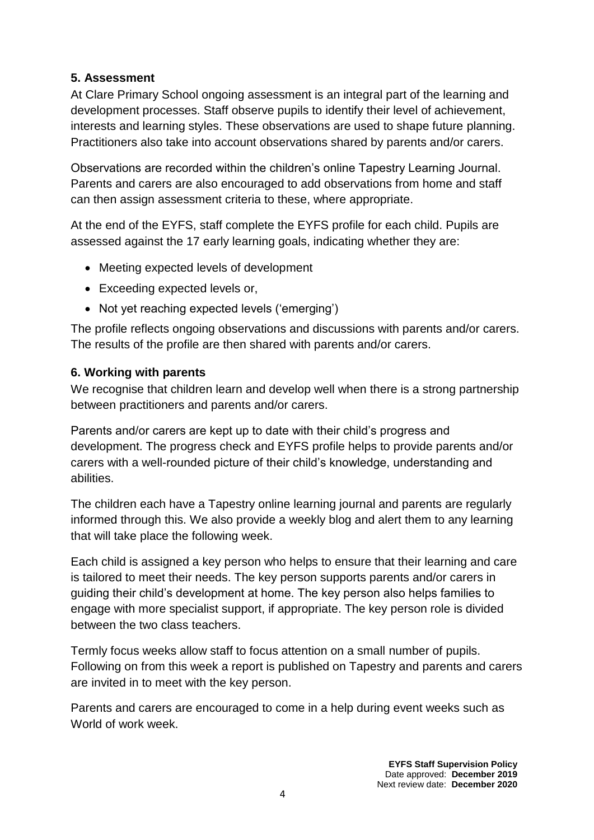## **5. Assessment**

At Clare Primary School ongoing assessment is an integral part of the learning and development processes. Staff observe pupils to identify their level of achievement, interests and learning styles. These observations are used to shape future planning. Practitioners also take into account observations shared by parents and/or carers.

Observations are recorded within the children's online Tapestry Learning Journal. Parents and carers are also encouraged to add observations from home and staff can then assign assessment criteria to these, where appropriate.

At the end of the EYFS, staff complete the EYFS profile for each child. Pupils are assessed against the 17 early learning goals, indicating whether they are:

- Meeting expected levels of development
- Exceeding expected levels or,
- Not yet reaching expected levels ('emerging')

The profile reflects ongoing observations and discussions with parents and/or carers. The results of the profile are then shared with parents and/or carers.

#### **6. Working with parents**

We recognise that children learn and develop well when there is a strong partnership between practitioners and parents and/or carers.

Parents and/or carers are kept up to date with their child's progress and development. The progress check and EYFS profile helps to provide parents and/or carers with a well-rounded picture of their child's knowledge, understanding and abilities.

The children each have a Tapestry online learning journal and parents are regularly informed through this. We also provide a weekly blog and alert them to any learning that will take place the following week.

Each child is assigned a key person who helps to ensure that their learning and care is tailored to meet their needs. The key person supports parents and/or carers in guiding their child's development at home. The key person also helps families to engage with more specialist support, if appropriate. The key person role is divided between the two class teachers.

Termly focus weeks allow staff to focus attention on a small number of pupils. Following on from this week a report is published on Tapestry and parents and carers are invited in to meet with the key person.

Parents and carers are encouraged to come in a help during event weeks such as World of work week.